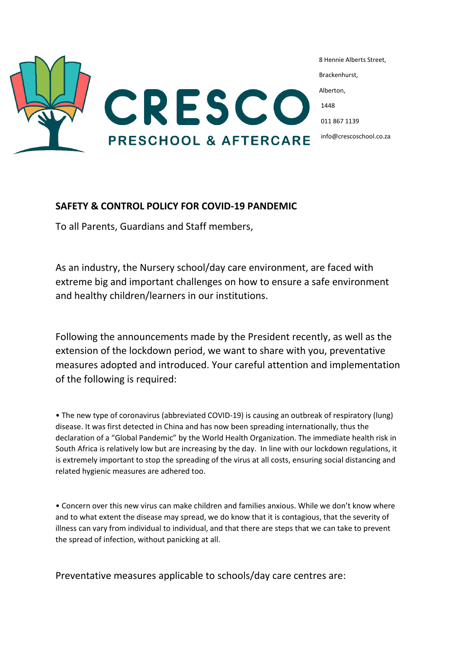

## **SAFETY & CONTROL POLICY FOR COVID-19 PANDEMIC**

To all Parents, Guardians and Staff members,

As an industry, the Nursery school/day care environment, are faced with extreme big and important challenges on how to ensure a safe environment and healthy children/learners in our institutions.

Following the announcements made by the President recently, as well as the extension of the lockdown period, we want to share with you, preventative measures adopted and introduced. Your careful attention and implementation of the following is required:

• The new type of coronavirus (abbreviated COVID-19) is causing an outbreak of respiratory (lung) disease. It was first detected in China and has now been spreading internationally, thus the declaration of a "Global Pandemic" by the World Health Organization. The immediate health risk in South Africa is relatively low but are increasing by the day. In line with our lockdown regulations, it is extremely important to stop the spreading of the virus at all costs, ensuring social distancing and related hygienic measures are adhered too.

• Concern over this new virus can make children and families anxious. While we don't know where and to what extent the disease may spread, we do know that it is contagious, that the severity of illness can vary from individual to individual, and that there are steps that we can take to prevent the spread of infection, without panicking at all.

Preventative measures applicable to schools/day care centres are: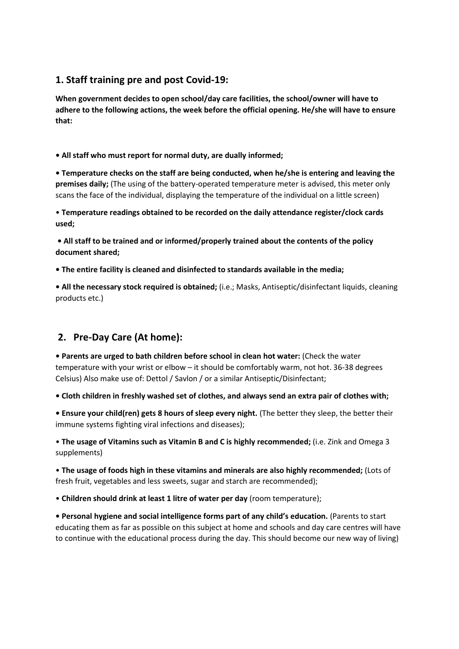## **1. Staff training pre and post Covid-19:**

**When government decides to open school/day care facilities, the school/owner will have to adhere to the following actions, the week before the official opening. He/she will have to ensure that:** 

**• All staff who must report for normal duty, are dually informed;**

**• Temperature checks on the staff are being conducted, when he/she is entering and leaving the premises daily;** (The using of the battery-operated temperature meter is advised, this meter only scans the face of the individual, displaying the temperature of the individual on a little screen)

• **Temperature readings obtained to be recorded on the daily attendance register/clock cards used;** 

**• All staff to be trained and or informed/properly trained about the contents of the policy document shared;** 

**• The entire facility is cleaned and disinfected to standards available in the media;** 

**• All the necessary stock required is obtained;** (i.e.; Masks, Antiseptic/disinfectant liquids, cleaning products etc.)

# **2. Pre-Day Care (At home):**

**• Parents are urged to bath children before school in clean hot water:** (Check the water temperature with your wrist or elbow – it should be comfortably warm, not hot. 36-38 degrees Celsius) Also make use of: Dettol / Savlon / or a similar Antiseptic/Disinfectant;

**• Cloth children in freshly washed set of clothes, and always send an extra pair of clothes with;**

**• Ensure your child(ren) gets 8 hours of sleep every night.** (The better they sleep, the better their immune systems fighting viral infections and diseases);

• **The usage of Vitamins such as Vitamin B and C is highly recommended;** (i.e. Zink and Omega 3 supplements)

• **The usage of foods high in these vitamins and minerals are also highly recommended;** (Lots of fresh fruit, vegetables and less sweets, sugar and starch are recommended);

• **Children should drink at least 1 litre of water per day** (room temperature);

**• Personal hygiene and social intelligence forms part of any child's education.** (Parents to start educating them as far as possible on this subject at home and schools and day care centres will have to continue with the educational process during the day. This should become our new way of living)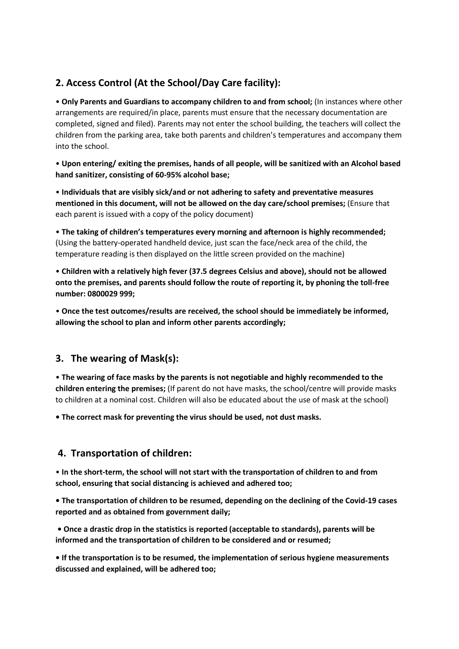# **2. Access Control (At the School/Day Care facility):**

• **Only Parents and Guardians to accompany children to and from school;** (In instances where other arrangements are required/in place, parents must ensure that the necessary documentation are completed, signed and filed). Parents may not enter the school building, the teachers will collect the children from the parking area, take both parents and children's temperatures and accompany them into the school.

• **Upon entering/ exiting the premises, hands of all people, will be sanitized with an Alcohol based hand sanitizer, consisting of 60-95% alcohol base;**

• **Individuals that are visibly sick/and or not adhering to safety and preventative measures mentioned in this document, will not be allowed on the day care/school premises;** (Ensure that each parent is issued with a copy of the policy document)

• **The taking of children's temperatures every morning and afternoon is highly recommended;** (Using the battery-operated handheld device, just scan the face/neck area of the child, the temperature reading is then displayed on the little screen provided on the machine)

• **Children with a relatively high fever (37.5 degrees Celsius and above), should not be allowed onto the premises, and parents should follow the route of reporting it, by phoning the toll-free number: 0800029 999;**

• **Once the test outcomes/results are received, the school should be immediately be informed, allowing the school to plan and inform other parents accordingly;** 

# **3. The wearing of Mask(s):**

• **The wearing of face masks by the parents is not negotiable and highly recommended to the children entering the premises;** (If parent do not have masks, the school/centre will provide masks to children at a nominal cost. Children will also be educated about the use of mask at the school)

**• The correct mask for preventing the virus should be used, not dust masks.** 

## **4. Transportation of children:**

• **In the short-term, the school will not start with the transportation of children to and from school, ensuring that social distancing is achieved and adhered too;** 

**• The transportation of children to be resumed, depending on the declining of the Covid-19 cases reported and as obtained from government daily;** 

**• Once a drastic drop in the statistics is reported (acceptable to standards), parents will be informed and the transportation of children to be considered and or resumed;** 

**• If the transportation is to be resumed, the implementation of serious hygiene measurements discussed and explained, will be adhered too;**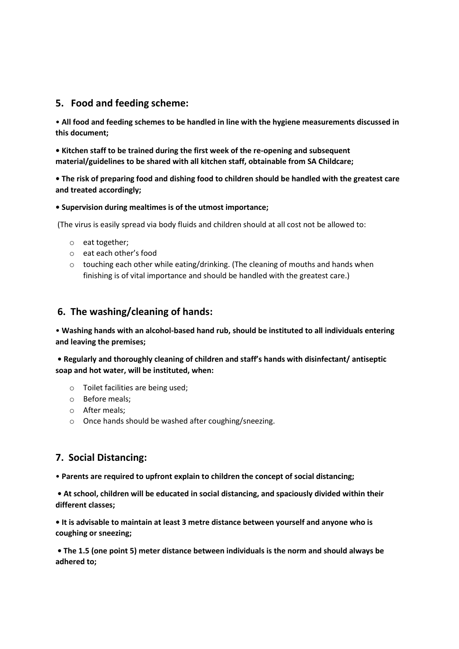#### **5. Food and feeding scheme:**

• **All food and feeding schemes to be handled in line with the hygiene measurements discussed in this document;** 

**• Kitchen staff to be trained during the first week of the re-opening and subsequent material/guidelines to be shared with all kitchen staff, obtainable from SA Childcare;** 

**• The risk of preparing food and dishing food to children should be handled with the greatest care and treated accordingly;** 

#### **• Supervision during mealtimes is of the utmost importance;**

(The virus is easily spread via body fluids and children should at all cost not be allowed to:

- o eat together;
- o eat each other's food
- o touching each other while eating/drinking. (The cleaning of mouths and hands when finishing is of vital importance and should be handled with the greatest care.)

#### **6. The washing/cleaning of hands:**

• **Washing hands with an alcohol-based hand rub, should be instituted to all individuals entering and leaving the premises;**

**• Regularly and thoroughly cleaning of children and staff's hands with disinfectant/ antiseptic soap and hot water, will be instituted, when:** 

- o Toilet facilities are being used;
- o Before meals;
- o After meals;
- o Once hands should be washed after coughing/sneezing.

## **7. Social Distancing:**

• **Parents are required to upfront explain to children the concept of social distancing;** 

**• At school, children will be educated in social distancing, and spaciously divided within their different classes;** 

**• It is advisable to maintain at least 3 metre distance between yourself and anyone who is coughing or sneezing;** 

**• The 1.5 (one point 5) meter distance between individuals is the norm and should always be adhered to;**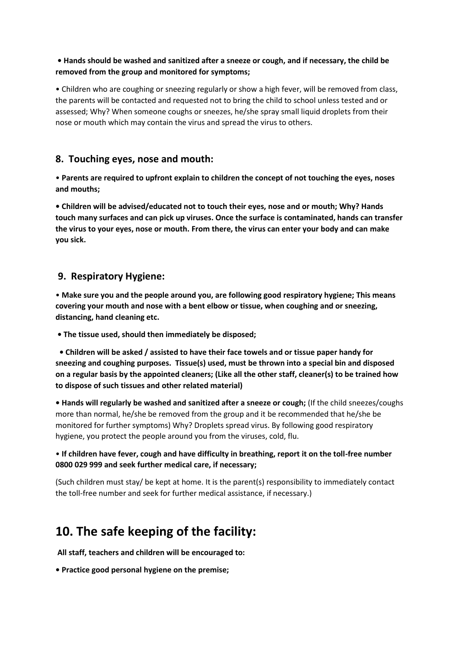#### **• Hands should be washed and sanitized after a sneeze or cough, and if necessary, the child be removed from the group and monitored for symptoms;**

• Children who are coughing or sneezing regularly or show a high fever, will be removed from class, the parents will be contacted and requested not to bring the child to school unless tested and or assessed; Why? When someone coughs or sneezes, he/she spray small liquid droplets from their nose or mouth which may contain the virus and spread the virus to others.

#### **8. Touching eyes, nose and mouth:**

• **Parents are required to upfront explain to children the concept of not touching the eyes, noses and mouths;** 

**• Children will be advised/educated not to touch their eyes, nose and or mouth; Why? Hands touch many surfaces and can pick up viruses. Once the surface is contaminated, hands can transfer the virus to your eyes, nose or mouth. From there, the virus can enter your body and can make you sick.** 

#### **9. Respiratory Hygiene:**

• **Make sure you and the people around you, are following good respiratory hygiene; This means covering your mouth and nose with a bent elbow or tissue, when coughing and or sneezing, distancing, hand cleaning etc.** 

**• The tissue used, should then immediately be disposed;**

 **• Children will be asked / assisted to have their face towels and or tissue paper handy for sneezing and coughing purposes. Tissue(s) used, must be thrown into a special bin and disposed on a regular basis by the appointed cleaners; (Like all the other staff, cleaner(s) to be trained how to dispose of such tissues and other related material)** 

**• Hands will regularly be washed and sanitized after a sneeze or cough;** (If the child sneezes/coughs more than normal, he/she be removed from the group and it be recommended that he/she be monitored for further symptoms) Why? Droplets spread virus. By following good respiratory hygiene, you protect the people around you from the viruses, cold, flu.

#### • **If children have fever, cough and have difficulty in breathing, report it on the toll-free number 0800 029 999 and seek further medical care, if necessary;**

(Such children must stay/ be kept at home. It is the parent(s) responsibility to immediately contact the toll-free number and seek for further medical assistance, if necessary.)

# **10. The safe keeping of the facility:**

**All staff, teachers and children will be encouraged to:** 

**• Practice good personal hygiene on the premise;**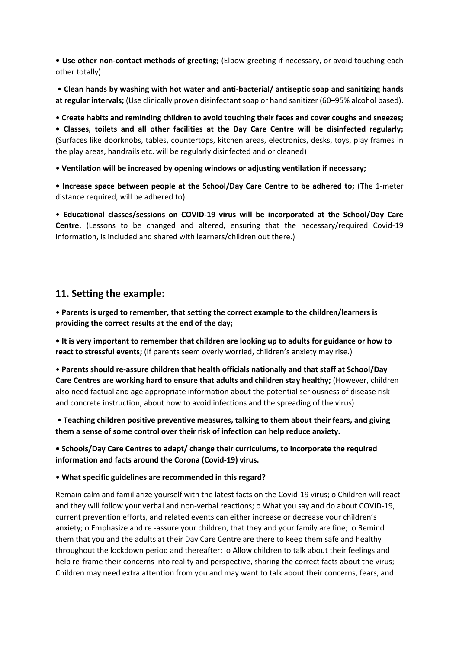**• Use other non-contact methods of greeting;** (Elbow greeting if necessary, or avoid touching each other totally)

• **Clean hands by washing with hot water and anti-bacterial/ antiseptic soap and sanitizing hands at regular intervals;** (Use clinically proven disinfectant soap or hand sanitizer (60–95% alcohol based).

• **Create habits and reminding children to avoid touching their faces and cover coughs and sneezes; • Classes, toilets and all other facilities at the Day Care Centre will be disinfected regularly;**  (Surfaces like doorknobs, tables, countertops, kitchen areas, electronics, desks, toys, play frames in the play areas, handrails etc. will be regularly disinfected and or cleaned)

• **Ventilation will be increased by opening windows or adjusting ventilation if necessary;** 

**• Increase space between people at the School/Day Care Centre to be adhered to;** (The 1-meter distance required, will be adhered to)

• **Educational classes/sessions on COVID-19 virus will be incorporated at the School/Day Care Centre.** (Lessons to be changed and altered, ensuring that the necessary/required Covid-19 information, is included and shared with learners/children out there.)

#### **11. Setting the example:**

• **Parents is urged to remember, that setting the correct example to the children/learners is providing the correct results at the end of the day;** 

**• It is very important to remember that children are looking up to adults for guidance or how to react to stressful events;** (If parents seem overly worried, children's anxiety may rise.)

• **Parents should re-assure children that health officials nationally and that staff at School/Day Care Centres are working hard to ensure that adults and children stay healthy;** (However, children also need factual and age appropriate information about the potential seriousness of disease risk and concrete instruction, about how to avoid infections and the spreading of the virus)

• **Teaching children positive preventive measures, talking to them about their fears, and giving them a sense of some control over their risk of infection can help reduce anxiety.** 

**• Schools/Day Care Centres to adapt/ change their curriculums, to incorporate the required information and facts around the Corona (Covid-19) virus.** 

• **What specific guidelines are recommended in this regard?**

Remain calm and familiarize yourself with the latest facts on the Covid-19 virus; o Children will react and they will follow your verbal and non-verbal reactions; o What you say and do about COVID-19, current prevention efforts, and related events can either increase or decrease your children's anxiety; o Emphasize and re -assure your children, that they and your family are fine; o Remind them that you and the adults at their Day Care Centre are there to keep them safe and healthy throughout the lockdown period and thereafter; o Allow children to talk about their feelings and help re-frame their concerns into reality and perspective, sharing the correct facts about the virus; Children may need extra attention from you and may want to talk about their concerns, fears, and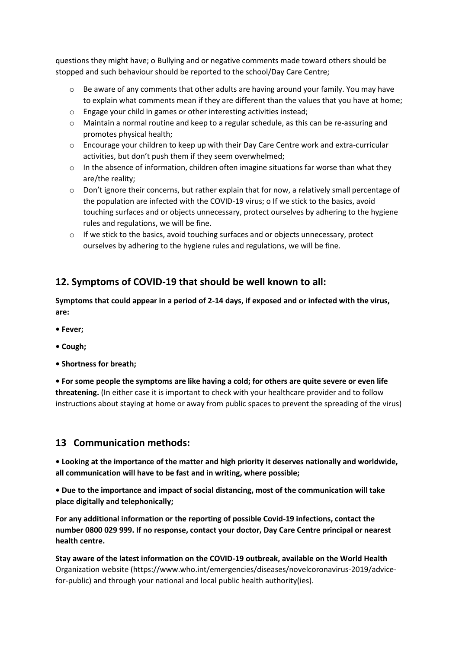questions they might have; o Bullying and or negative comments made toward others should be stopped and such behaviour should be reported to the school/Day Care Centre;

- $\circ$  Be aware of any comments that other adults are having around your family. You may have to explain what comments mean if they are different than the values that you have at home;
- o Engage your child in games or other interesting activities instead;
- $\circ$  Maintain a normal routine and keep to a regular schedule, as this can be re-assuring and promotes physical health;
- o Encourage your children to keep up with their Day Care Centre work and extra-curricular activities, but don't push them if they seem overwhelmed;
- $\circ$  In the absence of information, children often imagine situations far worse than what they are/the reality;
- o Don't ignore their concerns, but rather explain that for now, a relatively small percentage of the population are infected with the COVID-19 virus; o If we stick to the basics, avoid touching surfaces and or objects unnecessary, protect ourselves by adhering to the hygiene rules and regulations, we will be fine.
- o If we stick to the basics, avoid touching surfaces and or objects unnecessary, protect ourselves by adhering to the hygiene rules and regulations, we will be fine.

# **12. Symptoms of COVID-19 that should be well known to all:**

**Symptoms that could appear in a period of 2-14 days, if exposed and or infected with the virus, are:** 

- **Fever;**
- **Cough;**
- **Shortness for breath;**

**• For some people the symptoms are like having a cold; for others are quite severe or even life threatening.** (In either case it is important to check with your healthcare provider and to follow instructions about staying at home or away from public spaces to prevent the spreading of the virus)

#### **13 Communication methods:**

**• Looking at the importance of the matter and high priority it deserves nationally and worldwide, all communication will have to be fast and in writing, where possible;** 

**• Due to the importance and impact of social distancing, most of the communication will take place digitally and telephonically;** 

**For any additional information or the reporting of possible Covid-19 infections, contact the number 0800 029 999. If no response, contact your doctor, Day Care Centre principal or nearest health centre.** 

**Stay aware of the latest information on the COVID-19 outbreak, available on the World Health** Organization website (https://www.who.int/emergencies/diseases/novelcoronavirus-2019/advicefor-public) and through your national and local public health authority(ies).